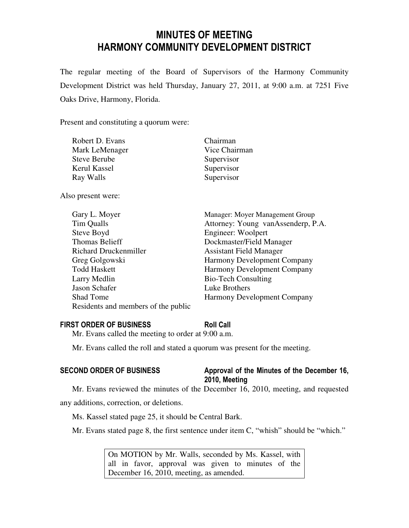# MINUTES OF MEETING HARMONY COMMUNITY DEVELOPMENT DISTRICT

The regular meeting of the Board of Supervisors of the Harmony Community Development District was held Thursday, January 27, 2011, at 9:00 a.m. at 7251 Five Oaks Drive, Harmony, Florida.

Present and constituting a quorum were:

| Robert D. Evans     | Chairman      |
|---------------------|---------------|
| Mark LeMenager      | Vice Chairman |
| <b>Steve Berube</b> | Supervisor    |
| Kerul Kassel        | Supervisor    |
| Ray Walls           | Supervisor    |
|                     |               |

Also present were:

| Gary L. Moyer                       | Manager: Moyer Management Group    |
|-------------------------------------|------------------------------------|
| Tim Qualls                          | Attorney: Young vanAssenderp, P.A. |
| Steve Boyd                          | Engineer: Woolpert                 |
| <b>Thomas Belieff</b>               | Dockmaster/Field Manager           |
| <b>Richard Druckenmiller</b>        | <b>Assistant Field Manager</b>     |
| Greg Golgowski                      | <b>Harmony Development Company</b> |
| <b>Todd Haskett</b>                 | Harmony Development Company        |
| Larry Medlin                        | <b>Bio-Tech Consulting</b>         |
| Jason Schafer                       | Luke Brothers                      |
| <b>Shad Tome</b>                    | <b>Harmony Development Company</b> |
| Residents and members of the public |                                    |

### FIRST ORDER OF BUSINESS Roll Call

Mr. Evans called the meeting to order at 9:00 a.m.

Mr. Evans called the roll and stated a quorum was present for the meeting.

# SECOND ORDER OF BUSINESS Approval of the Minutes of the December 16, 2010, Meeting

Mr. Evans reviewed the minutes of the December 16, 2010, meeting, and requested any additions, correction, or deletions.

Ms. Kassel stated page 25, it should be Central Bark.

Mr. Evans stated page 8, the first sentence under item C, "whish" should be "which."

On MOTION by Mr. Walls, seconded by Ms. Kassel, with all in favor, approval was given to minutes of the December 16, 2010, meeting, as amended.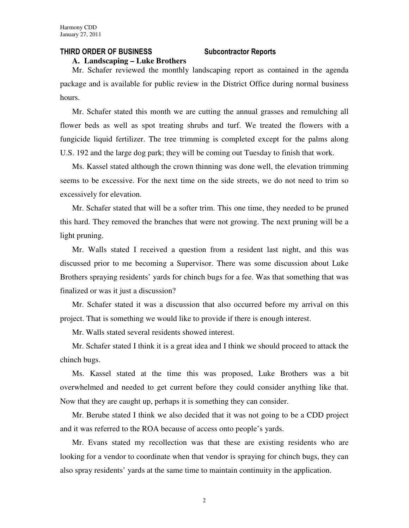### THIRD ORDER OF BUSINESS Subcontractor Reports

**A. Landscaping – Luke Brothers**

Mr. Schafer reviewed the monthly landscaping report as contained in the agenda package and is available for public review in the District Office during normal business hours.

Mr. Schafer stated this month we are cutting the annual grasses and remulching all flower beds as well as spot treating shrubs and turf. We treated the flowers with a fungicide liquid fertilizer. The tree trimming is completed except for the palms along U.S. 192 and the large dog park; they will be coming out Tuesday to finish that work.

Ms. Kassel stated although the crown thinning was done well, the elevation trimming seems to be excessive. For the next time on the side streets, we do not need to trim so excessively for elevation.

Mr. Schafer stated that will be a softer trim. This one time, they needed to be pruned this hard. They removed the branches that were not growing. The next pruning will be a light pruning.

Mr. Walls stated I received a question from a resident last night, and this was discussed prior to me becoming a Supervisor. There was some discussion about Luke Brothers spraying residents' yards for chinch bugs for a fee. Was that something that was finalized or was it just a discussion?

Mr. Schafer stated it was a discussion that also occurred before my arrival on this project. That is something we would like to provide if there is enough interest.

Mr. Walls stated several residents showed interest.

Mr. Schafer stated I think it is a great idea and I think we should proceed to attack the chinch bugs.

Ms. Kassel stated at the time this was proposed, Luke Brothers was a bit overwhelmed and needed to get current before they could consider anything like that. Now that they are caught up, perhaps it is something they can consider.

Mr. Berube stated I think we also decided that it was not going to be a CDD project and it was referred to the ROA because of access onto people's yards.

Mr. Evans stated my recollection was that these are existing residents who are looking for a vendor to coordinate when that vendor is spraying for chinch bugs, they can also spray residents' yards at the same time to maintain continuity in the application.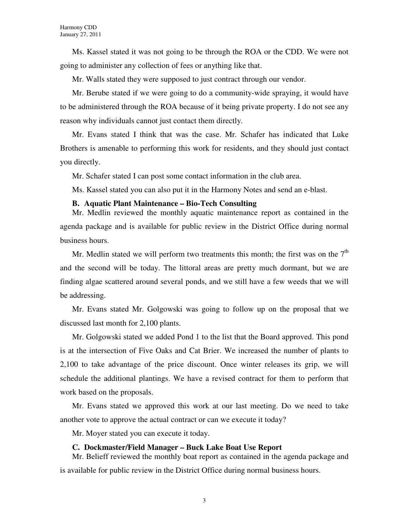Ms. Kassel stated it was not going to be through the ROA or the CDD. We were not going to administer any collection of fees or anything like that.

Mr. Walls stated they were supposed to just contract through our vendor.

Mr. Berube stated if we were going to do a community-wide spraying, it would have to be administered through the ROA because of it being private property. I do not see any reason why individuals cannot just contact them directly.

Mr. Evans stated I think that was the case. Mr. Schafer has indicated that Luke Brothers is amenable to performing this work for residents, and they should just contact you directly.

Mr. Schafer stated I can post some contact information in the club area.

Ms. Kassel stated you can also put it in the Harmony Notes and send an e-blast.

#### **B. Aquatic Plant Maintenance – Bio-Tech Consulting**

Mr. Medlin reviewed the monthly aquatic maintenance report as contained in the agenda package and is available for public review in the District Office during normal business hours.

Mr. Medlin stated we will perform two treatments this month; the first was on the  $7<sup>th</sup>$ and the second will be today. The littoral areas are pretty much dormant, but we are finding algae scattered around several ponds, and we still have a few weeds that we will be addressing.

Mr. Evans stated Mr. Golgowski was going to follow up on the proposal that we discussed last month for 2,100 plants.

Mr. Golgowski stated we added Pond 1 to the list that the Board approved. This pond is at the intersection of Five Oaks and Cat Brier. We increased the number of plants to 2,100 to take advantage of the price discount. Once winter releases its grip, we will schedule the additional plantings. We have a revised contract for them to perform that work based on the proposals.

Mr. Evans stated we approved this work at our last meeting. Do we need to take another vote to approve the actual contract or can we execute it today?

Mr. Moyer stated you can execute it today.

### **C. Dockmaster/Field Manager – Buck Lake Boat Use Report**

Mr. Belieff reviewed the monthly boat report as contained in the agenda package and is available for public review in the District Office during normal business hours.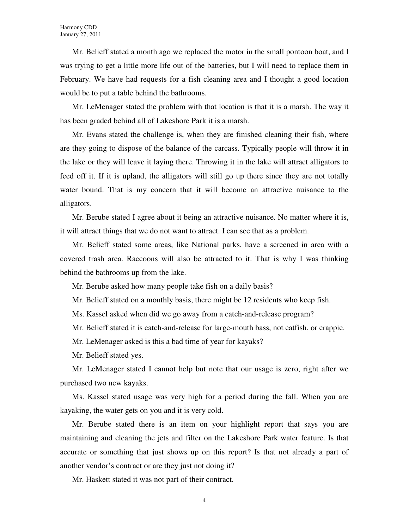Mr. Belieff stated a month ago we replaced the motor in the small pontoon boat, and I was trying to get a little more life out of the batteries, but I will need to replace them in February. We have had requests for a fish cleaning area and I thought a good location would be to put a table behind the bathrooms.

Mr. LeMenager stated the problem with that location is that it is a marsh. The way it has been graded behind all of Lakeshore Park it is a marsh.

Mr. Evans stated the challenge is, when they are finished cleaning their fish, where are they going to dispose of the balance of the carcass. Typically people will throw it in the lake or they will leave it laying there. Throwing it in the lake will attract alligators to feed off it. If it is upland, the alligators will still go up there since they are not totally water bound. That is my concern that it will become an attractive nuisance to the alligators.

Mr. Berube stated I agree about it being an attractive nuisance. No matter where it is, it will attract things that we do not want to attract. I can see that as a problem.

Mr. Belieff stated some areas, like National parks, have a screened in area with a covered trash area. Raccoons will also be attracted to it. That is why I was thinking behind the bathrooms up from the lake.

Mr. Berube asked how many people take fish on a daily basis?

Mr. Belieff stated on a monthly basis, there might be 12 residents who keep fish.

Ms. Kassel asked when did we go away from a catch-and-release program?

Mr. Belieff stated it is catch-and-release for large-mouth bass, not catfish, or crappie.

Mr. LeMenager asked is this a bad time of year for kayaks?

Mr. Belieff stated yes.

Mr. LeMenager stated I cannot help but note that our usage is zero, right after we purchased two new kayaks.

Ms. Kassel stated usage was very high for a period during the fall. When you are kayaking, the water gets on you and it is very cold.

Mr. Berube stated there is an item on your highlight report that says you are maintaining and cleaning the jets and filter on the Lakeshore Park water feature. Is that accurate or something that just shows up on this report? Is that not already a part of another vendor's contract or are they just not doing it?

Mr. Haskett stated it was not part of their contract.

4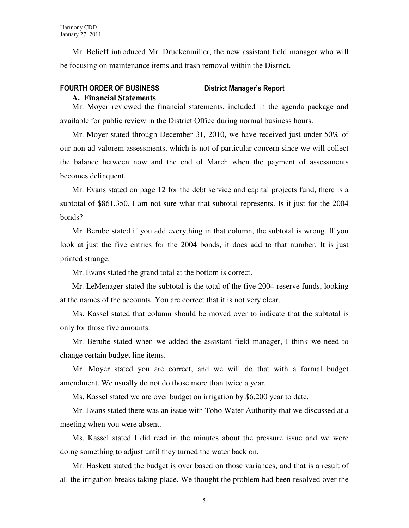Mr. Belieff introduced Mr. Druckenmiller, the new assistant field manager who will be focusing on maintenance items and trash removal within the District.

# FOURTH ORDER OF BUSINESS District Manager's Report

#### **A. Financial Statements**

Mr. Moyer reviewed the financial statements, included in the agenda package and available for public review in the District Office during normal business hours.

Mr. Moyer stated through December 31, 2010, we have received just under 50% of our non-ad valorem assessments, which is not of particular concern since we will collect the balance between now and the end of March when the payment of assessments becomes delinquent.

Mr. Evans stated on page 12 for the debt service and capital projects fund, there is a subtotal of \$861,350. I am not sure what that subtotal represents. Is it just for the 2004 bonds?

Mr. Berube stated if you add everything in that column, the subtotal is wrong. If you look at just the five entries for the 2004 bonds, it does add to that number. It is just printed strange.

Mr. Evans stated the grand total at the bottom is correct.

Mr. LeMenager stated the subtotal is the total of the five 2004 reserve funds, looking at the names of the accounts. You are correct that it is not very clear.

Ms. Kassel stated that column should be moved over to indicate that the subtotal is only for those five amounts.

Mr. Berube stated when we added the assistant field manager, I think we need to change certain budget line items.

Mr. Moyer stated you are correct, and we will do that with a formal budget amendment. We usually do not do those more than twice a year.

Ms. Kassel stated we are over budget on irrigation by \$6,200 year to date.

Mr. Evans stated there was an issue with Toho Water Authority that we discussed at a meeting when you were absent.

Ms. Kassel stated I did read in the minutes about the pressure issue and we were doing something to adjust until they turned the water back on.

Mr. Haskett stated the budget is over based on those variances, and that is a result of all the irrigation breaks taking place. We thought the problem had been resolved over the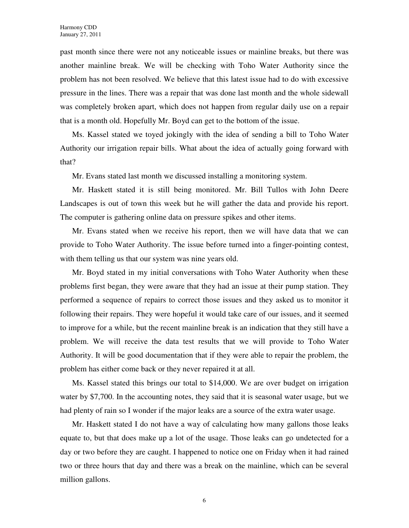past month since there were not any noticeable issues or mainline breaks, but there was another mainline break. We will be checking with Toho Water Authority since the problem has not been resolved. We believe that this latest issue had to do with excessive pressure in the lines. There was a repair that was done last month and the whole sidewall was completely broken apart, which does not happen from regular daily use on a repair that is a month old. Hopefully Mr. Boyd can get to the bottom of the issue.

Ms. Kassel stated we toyed jokingly with the idea of sending a bill to Toho Water Authority our irrigation repair bills. What about the idea of actually going forward with that?

Mr. Evans stated last month we discussed installing a monitoring system.

Mr. Haskett stated it is still being monitored. Mr. Bill Tullos with John Deere Landscapes is out of town this week but he will gather the data and provide his report. The computer is gathering online data on pressure spikes and other items.

Mr. Evans stated when we receive his report, then we will have data that we can provide to Toho Water Authority. The issue before turned into a finger-pointing contest, with them telling us that our system was nine years old.

Mr. Boyd stated in my initial conversations with Toho Water Authority when these problems first began, they were aware that they had an issue at their pump station. They performed a sequence of repairs to correct those issues and they asked us to monitor it following their repairs. They were hopeful it would take care of our issues, and it seemed to improve for a while, but the recent mainline break is an indication that they still have a problem. We will receive the data test results that we will provide to Toho Water Authority. It will be good documentation that if they were able to repair the problem, the problem has either come back or they never repaired it at all.

Ms. Kassel stated this brings our total to \$14,000. We are over budget on irrigation water by \$7,700. In the accounting notes, they said that it is seasonal water usage, but we had plenty of rain so I wonder if the major leaks are a source of the extra water usage.

Mr. Haskett stated I do not have a way of calculating how many gallons those leaks equate to, but that does make up a lot of the usage. Those leaks can go undetected for a day or two before they are caught. I happened to notice one on Friday when it had rained two or three hours that day and there was a break on the mainline, which can be several million gallons.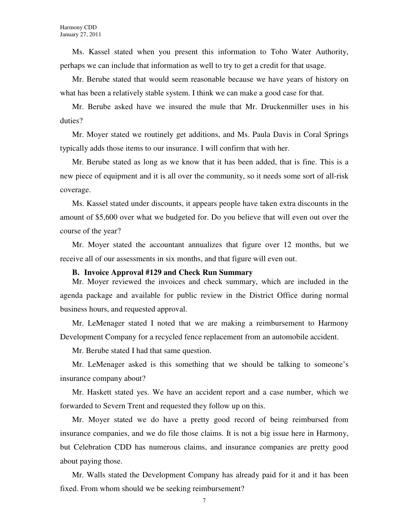Ms. Kassel stated when you present this information to Toho Water Authority, perhaps we can include that information as well to try to get a credit for that usage.

Mr. Berube stated that would seem reasonable because we have years of history on what has been a relatively stable system. I think we can make a good case for that.

Mr. Berube asked have we insured the mule that Mr. Druckenmiller uses in his duties?

Mr. Moyer stated we routinely get additions, and Ms. Paula Davis in Coral Springs typically adds those items to our insurance. I will confirm that with her.

Mr. Berube stated as long as we know that it has been added, that is fine. This is a new piece of equipment and it is all over the community, so it needs some sort of all-risk coverage.

Ms. Kassel stated under discounts, it appears people have taken extra discounts in the amount of \$5,600 over what we budgeted for. Do you believe that will even out over the course of the year?

Mr. Moyer stated the accountant annualizes that figure over 12 months, but we receive all of our assessments in six months, and that figure will even out.

#### **B. Invoice Approval #129 and Check Run Summary**

Mr. Moyer reviewed the invoices and check summary, which are included in the agenda package and available for public review in the District Office during normal business hours, and requested approval.

Mr. LeMenager stated I noted that we are making a reimbursement to Harmony Development Company for a recycled fence replacement from an automobile accident.

Mr. Berube stated I had that same question.

Mr. LeMenager asked is this something that we should be talking to someone's insurance company about?

Mr. Haskett stated yes. We have an accident report and a case number, which we forwarded to Severn Trent and requested they follow up on this.

Mr. Moyer stated we do have a pretty good record of being reimbursed from insurance companies, and we do file those claims. It is not a big issue here in Harmony, but Celebration CDD has numerous claims, and insurance companies are pretty good about paying those.

Mr. Walls stated the Development Company has already paid for it and it has been fixed. From whom should we be seeking reimbursement?

7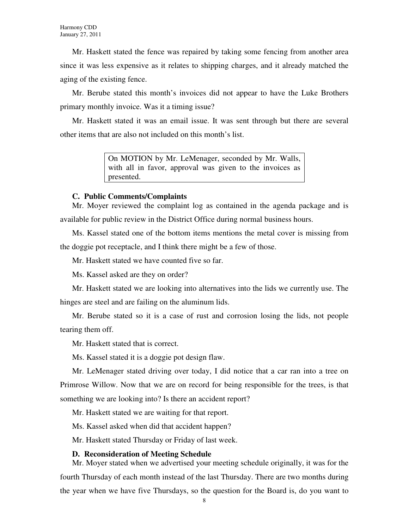Mr. Haskett stated the fence was repaired by taking some fencing from another area since it was less expensive as it relates to shipping charges, and it already matched the aging of the existing fence.

Mr. Berube stated this month's invoices did not appear to have the Luke Brothers primary monthly invoice. Was it a timing issue?

Mr. Haskett stated it was an email issue. It was sent through but there are several other items that are also not included on this month's list.

> On MOTION by Mr. LeMenager, seconded by Mr. Walls, with all in favor, approval was given to the invoices as presented.

### **C. Public Comments/Complaints**

Mr. Moyer reviewed the complaint log as contained in the agenda package and is available for public review in the District Office during normal business hours.

Ms. Kassel stated one of the bottom items mentions the metal cover is missing from the doggie pot receptacle, and I think there might be a few of those.

Mr. Haskett stated we have counted five so far.

Ms. Kassel asked are they on order?

Mr. Haskett stated we are looking into alternatives into the lids we currently use. The hinges are steel and are failing on the aluminum lids.

Mr. Berube stated so it is a case of rust and corrosion losing the lids, not people tearing them off.

Mr. Haskett stated that is correct.

Ms. Kassel stated it is a doggie pot design flaw.

Mr. LeMenager stated driving over today, I did notice that a car ran into a tree on Primrose Willow. Now that we are on record for being responsible for the trees, is that something we are looking into? Is there an accident report?

Mr. Haskett stated we are waiting for that report.

Ms. Kassel asked when did that accident happen?

Mr. Haskett stated Thursday or Friday of last week.

#### **D. Reconsideration of Meeting Schedule**

Mr. Moyer stated when we advertised your meeting schedule originally, it was for the fourth Thursday of each month instead of the last Thursday. There are two months during the year when we have five Thursdays, so the question for the Board is, do you want to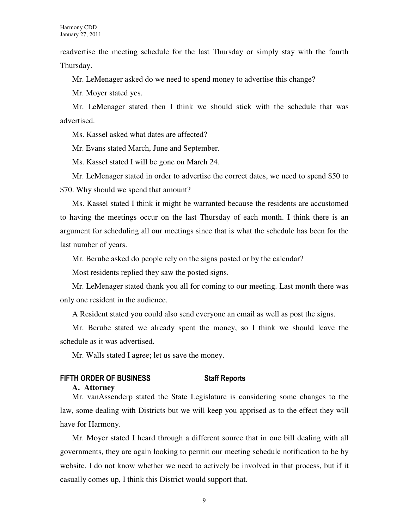readvertise the meeting schedule for the last Thursday or simply stay with the fourth Thursday.

Mr. LeMenager asked do we need to spend money to advertise this change?

Mr. Moyer stated yes.

Mr. LeMenager stated then I think we should stick with the schedule that was advertised.

Ms. Kassel asked what dates are affected?

Mr. Evans stated March, June and September.

Ms. Kassel stated I will be gone on March 24.

Mr. LeMenager stated in order to advertise the correct dates, we need to spend \$50 to \$70. Why should we spend that amount?

Ms. Kassel stated I think it might be warranted because the residents are accustomed to having the meetings occur on the last Thursday of each month. I think there is an argument for scheduling all our meetings since that is what the schedule has been for the last number of years.

Mr. Berube asked do people rely on the signs posted or by the calendar?

Most residents replied they saw the posted signs.

Mr. LeMenager stated thank you all for coming to our meeting. Last month there was only one resident in the audience.

A Resident stated you could also send everyone an email as well as post the signs.

Mr. Berube stated we already spent the money, so I think we should leave the schedule as it was advertised.

Mr. Walls stated I agree; let us save the money.

# FIFTH ORDER OF BUSINESS Staff Reports

#### **A. Attorney**

Mr. vanAssenderp stated the State Legislature is considering some changes to the law, some dealing with Districts but we will keep you apprised as to the effect they will have for Harmony.

Mr. Moyer stated I heard through a different source that in one bill dealing with all governments, they are again looking to permit our meeting schedule notification to be by website. I do not know whether we need to actively be involved in that process, but if it casually comes up, I think this District would support that.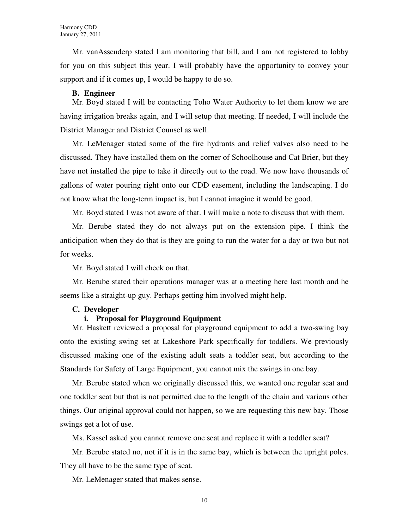Mr. vanAssenderp stated I am monitoring that bill, and I am not registered to lobby for you on this subject this year. I will probably have the opportunity to convey your support and if it comes up, I would be happy to do so.

### **B. Engineer**

Mr. Boyd stated I will be contacting Toho Water Authority to let them know we are having irrigation breaks again, and I will setup that meeting. If needed, I will include the District Manager and District Counsel as well.

Mr. LeMenager stated some of the fire hydrants and relief valves also need to be discussed. They have installed them on the corner of Schoolhouse and Cat Brier, but they have not installed the pipe to take it directly out to the road. We now have thousands of gallons of water pouring right onto our CDD easement, including the landscaping. I do not know what the long-term impact is, but I cannot imagine it would be good.

Mr. Boyd stated I was not aware of that. I will make a note to discuss that with them.

Mr. Berube stated they do not always put on the extension pipe. I think the anticipation when they do that is they are going to run the water for a day or two but not for weeks.

Mr. Boyd stated I will check on that.

Mr. Berube stated their operations manager was at a meeting here last month and he seems like a straight-up guy. Perhaps getting him involved might help.

#### **C. Developer**

#### **i. Proposal for Playground Equipment**

Mr. Haskett reviewed a proposal for playground equipment to add a two-swing bay onto the existing swing set at Lakeshore Park specifically for toddlers. We previously discussed making one of the existing adult seats a toddler seat, but according to the Standards for Safety of Large Equipment, you cannot mix the swings in one bay.

Mr. Berube stated when we originally discussed this, we wanted one regular seat and one toddler seat but that is not permitted due to the length of the chain and various other things. Our original approval could not happen, so we are requesting this new bay. Those swings get a lot of use.

Ms. Kassel asked you cannot remove one seat and replace it with a toddler seat?

Mr. Berube stated no, not if it is in the same bay, which is between the upright poles. They all have to be the same type of seat.

Mr. LeMenager stated that makes sense.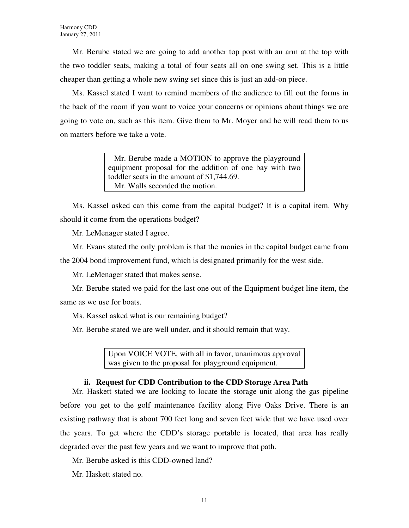Mr. Berube stated we are going to add another top post with an arm at the top with the two toddler seats, making a total of four seats all on one swing set. This is a little cheaper than getting a whole new swing set since this is just an add-on piece.

Ms. Kassel stated I want to remind members of the audience to fill out the forms in the back of the room if you want to voice your concerns or opinions about things we are going to vote on, such as this item. Give them to Mr. Moyer and he will read them to us on matters before we take a vote.

> Mr. Berube made a MOTION to approve the playground equipment proposal for the addition of one bay with two toddler seats in the amount of \$1,744.69. Mr. Walls seconded the motion.

Ms. Kassel asked can this come from the capital budget? It is a capital item. Why should it come from the operations budget?

Mr. LeMenager stated I agree.

Mr. Evans stated the only problem is that the monies in the capital budget came from the 2004 bond improvement fund, which is designated primarily for the west side.

Mr. LeMenager stated that makes sense.

Mr. Berube stated we paid for the last one out of the Equipment budget line item, the same as we use for boats.

Ms. Kassel asked what is our remaining budget?

Mr. Berube stated we are well under, and it should remain that way.

Upon VOICE VOTE, with all in favor, unanimous approval was given to the proposal for playground equipment.

#### **ii. Request for CDD Contribution to the CDD Storage Area Path**

Mr. Haskett stated we are looking to locate the storage unit along the gas pipeline before you get to the golf maintenance facility along Five Oaks Drive. There is an existing pathway that is about 700 feet long and seven feet wide that we have used over the years. To get where the CDD's storage portable is located, that area has really degraded over the past few years and we want to improve that path.

Mr. Berube asked is this CDD-owned land?

Mr. Haskett stated no.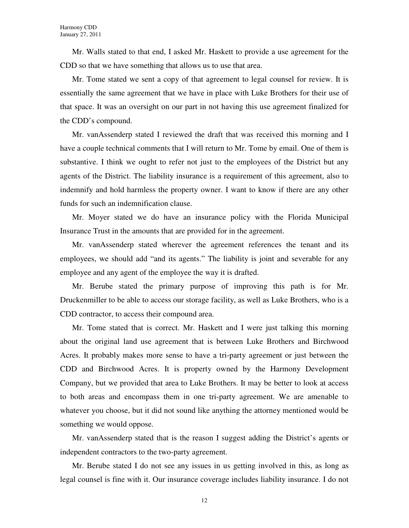Mr. Walls stated to that end, I asked Mr. Haskett to provide a use agreement for the CDD so that we have something that allows us to use that area.

Mr. Tome stated we sent a copy of that agreement to legal counsel for review. It is essentially the same agreement that we have in place with Luke Brothers for their use of that space. It was an oversight on our part in not having this use agreement finalized for the CDD's compound.

Mr. vanAssenderp stated I reviewed the draft that was received this morning and I have a couple technical comments that I will return to Mr. Tome by email. One of them is substantive. I think we ought to refer not just to the employees of the District but any agents of the District. The liability insurance is a requirement of this agreement, also to indemnify and hold harmless the property owner. I want to know if there are any other funds for such an indemnification clause.

Mr. Moyer stated we do have an insurance policy with the Florida Municipal Insurance Trust in the amounts that are provided for in the agreement.

Mr. vanAssenderp stated wherever the agreement references the tenant and its employees, we should add "and its agents." The liability is joint and severable for any employee and any agent of the employee the way it is drafted.

Mr. Berube stated the primary purpose of improving this path is for Mr. Druckenmiller to be able to access our storage facility, as well as Luke Brothers, who is a CDD contractor, to access their compound area.

Mr. Tome stated that is correct. Mr. Haskett and I were just talking this morning about the original land use agreement that is between Luke Brothers and Birchwood Acres. It probably makes more sense to have a tri-party agreement or just between the CDD and Birchwood Acres. It is property owned by the Harmony Development Company, but we provided that area to Luke Brothers. It may be better to look at access to both areas and encompass them in one tri-party agreement. We are amenable to whatever you choose, but it did not sound like anything the attorney mentioned would be something we would oppose.

Mr. vanAssenderp stated that is the reason I suggest adding the District's agents or independent contractors to the two-party agreement.

Mr. Berube stated I do not see any issues in us getting involved in this, as long as legal counsel is fine with it. Our insurance coverage includes liability insurance. I do not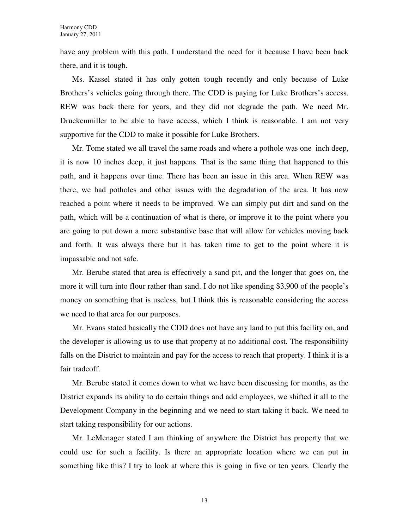have any problem with this path. I understand the need for it because I have been back there, and it is tough.

Ms. Kassel stated it has only gotten tough recently and only because of Luke Brothers's vehicles going through there. The CDD is paying for Luke Brothers's access. REW was back there for years, and they did not degrade the path. We need Mr. Druckenmiller to be able to have access, which I think is reasonable. I am not very supportive for the CDD to make it possible for Luke Brothers.

Mr. Tome stated we all travel the same roads and where a pothole was one inch deep, it is now 10 inches deep, it just happens. That is the same thing that happened to this path, and it happens over time. There has been an issue in this area. When REW was there, we had potholes and other issues with the degradation of the area. It has now reached a point where it needs to be improved. We can simply put dirt and sand on the path, which will be a continuation of what is there, or improve it to the point where you are going to put down a more substantive base that will allow for vehicles moving back and forth. It was always there but it has taken time to get to the point where it is impassable and not safe.

Mr. Berube stated that area is effectively a sand pit, and the longer that goes on, the more it will turn into flour rather than sand. I do not like spending \$3,900 of the people's money on something that is useless, but I think this is reasonable considering the access we need to that area for our purposes.

Mr. Evans stated basically the CDD does not have any land to put this facility on, and the developer is allowing us to use that property at no additional cost. The responsibility falls on the District to maintain and pay for the access to reach that property. I think it is a fair tradeoff.

Mr. Berube stated it comes down to what we have been discussing for months, as the District expands its ability to do certain things and add employees, we shifted it all to the Development Company in the beginning and we need to start taking it back. We need to start taking responsibility for our actions.

Mr. LeMenager stated I am thinking of anywhere the District has property that we could use for such a facility. Is there an appropriate location where we can put in something like this? I try to look at where this is going in five or ten years. Clearly the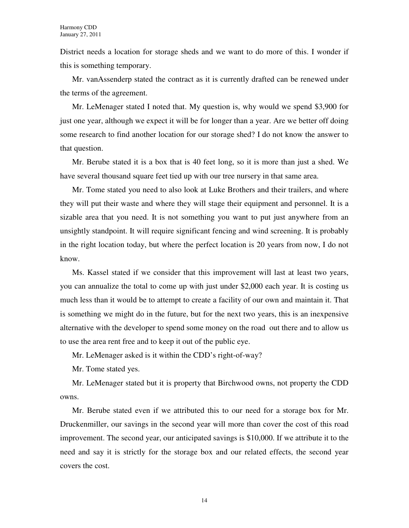District needs a location for storage sheds and we want to do more of this. I wonder if this is something temporary.

Mr. vanAssenderp stated the contract as it is currently drafted can be renewed under the terms of the agreement.

Mr. LeMenager stated I noted that. My question is, why would we spend \$3,900 for just one year, although we expect it will be for longer than a year. Are we better off doing some research to find another location for our storage shed? I do not know the answer to that question.

Mr. Berube stated it is a box that is 40 feet long, so it is more than just a shed. We have several thousand square feet tied up with our tree nursery in that same area.

Mr. Tome stated you need to also look at Luke Brothers and their trailers, and where they will put their waste and where they will stage their equipment and personnel. It is a sizable area that you need. It is not something you want to put just anywhere from an unsightly standpoint. It will require significant fencing and wind screening. It is probably in the right location today, but where the perfect location is 20 years from now, I do not know.

Ms. Kassel stated if we consider that this improvement will last at least two years, you can annualize the total to come up with just under \$2,000 each year. It is costing us much less than it would be to attempt to create a facility of our own and maintain it. That is something we might do in the future, but for the next two years, this is an inexpensive alternative with the developer to spend some money on the road out there and to allow us to use the area rent free and to keep it out of the public eye.

Mr. LeMenager asked is it within the CDD's right-of-way?

Mr. Tome stated yes.

Mr. LeMenager stated but it is property that Birchwood owns, not property the CDD owns.

Mr. Berube stated even if we attributed this to our need for a storage box for Mr. Druckenmiller, our savings in the second year will more than cover the cost of this road improvement. The second year, our anticipated savings is \$10,000. If we attribute it to the need and say it is strictly for the storage box and our related effects, the second year covers the cost.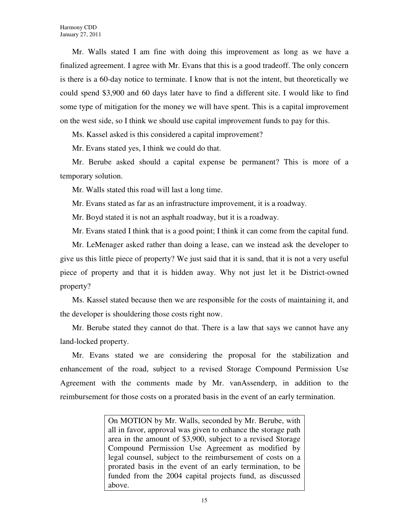Mr. Walls stated I am fine with doing this improvement as long as we have a finalized agreement. I agree with Mr. Evans that this is a good tradeoff. The only concern is there is a 60-day notice to terminate. I know that is not the intent, but theoretically we could spend \$3,900 and 60 days later have to find a different site. I would like to find some type of mitigation for the money we will have spent. This is a capital improvement on the west side, so I think we should use capital improvement funds to pay for this.

Ms. Kassel asked is this considered a capital improvement?

Mr. Evans stated yes, I think we could do that.

Mr. Berube asked should a capital expense be permanent? This is more of a temporary solution.

Mr. Walls stated this road will last a long time.

Mr. Evans stated as far as an infrastructure improvement, it is a roadway.

Mr. Boyd stated it is not an asphalt roadway, but it is a roadway.

Mr. Evans stated I think that is a good point; I think it can come from the capital fund.

Mr. LeMenager asked rather than doing a lease, can we instead ask the developer to give us this little piece of property? We just said that it is sand, that it is not a very useful piece of property and that it is hidden away. Why not just let it be District-owned property?

Ms. Kassel stated because then we are responsible for the costs of maintaining it, and the developer is shouldering those costs right now.

Mr. Berube stated they cannot do that. There is a law that says we cannot have any land-locked property.

Mr. Evans stated we are considering the proposal for the stabilization and enhancement of the road, subject to a revised Storage Compound Permission Use Agreement with the comments made by Mr. vanAssenderp, in addition to the reimbursement for those costs on a prorated basis in the event of an early termination.

> On MOTION by Mr. Walls, seconded by Mr. Berube, with all in favor, approval was given to enhance the storage path area in the amount of \$3,900, subject to a revised Storage Compound Permission Use Agreement as modified by legal counsel, subject to the reimbursement of costs on a prorated basis in the event of an early termination, to be funded from the 2004 capital projects fund, as discussed above.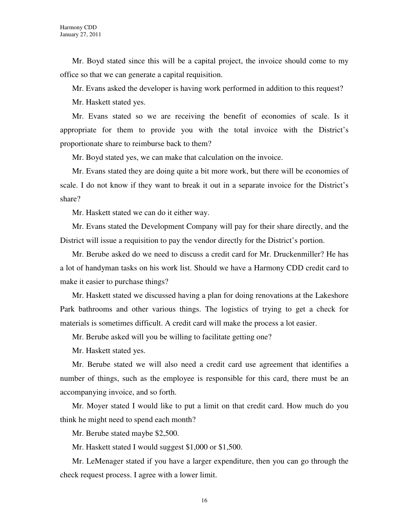Mr. Boyd stated since this will be a capital project, the invoice should come to my office so that we can generate a capital requisition.

Mr. Evans asked the developer is having work performed in addition to this request?

Mr. Haskett stated yes.

Mr. Evans stated so we are receiving the benefit of economies of scale. Is it appropriate for them to provide you with the total invoice with the District's proportionate share to reimburse back to them?

Mr. Boyd stated yes, we can make that calculation on the invoice.

Mr. Evans stated they are doing quite a bit more work, but there will be economies of scale. I do not know if they want to break it out in a separate invoice for the District's share?

Mr. Haskett stated we can do it either way.

Mr. Evans stated the Development Company will pay for their share directly, and the District will issue a requisition to pay the vendor directly for the District's portion.

Mr. Berube asked do we need to discuss a credit card for Mr. Druckenmiller? He has a lot of handyman tasks on his work list. Should we have a Harmony CDD credit card to make it easier to purchase things?

Mr. Haskett stated we discussed having a plan for doing renovations at the Lakeshore Park bathrooms and other various things. The logistics of trying to get a check for materials is sometimes difficult. A credit card will make the process a lot easier.

Mr. Berube asked will you be willing to facilitate getting one?

Mr. Haskett stated yes.

Mr. Berube stated we will also need a credit card use agreement that identifies a number of things, such as the employee is responsible for this card, there must be an accompanying invoice, and so forth.

Mr. Moyer stated I would like to put a limit on that credit card. How much do you think he might need to spend each month?

Mr. Berube stated maybe \$2,500.

Mr. Haskett stated I would suggest \$1,000 or \$1,500.

Mr. LeMenager stated if you have a larger expenditure, then you can go through the check request process. I agree with a lower limit.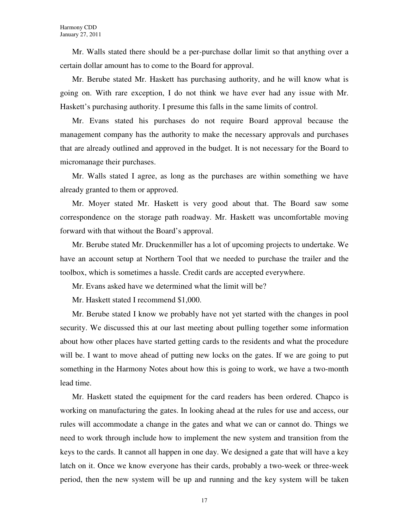Mr. Walls stated there should be a per-purchase dollar limit so that anything over a certain dollar amount has to come to the Board for approval.

Mr. Berube stated Mr. Haskett has purchasing authority, and he will know what is going on. With rare exception, I do not think we have ever had any issue with Mr. Haskett's purchasing authority. I presume this falls in the same limits of control.

Mr. Evans stated his purchases do not require Board approval because the management company has the authority to make the necessary approvals and purchases that are already outlined and approved in the budget. It is not necessary for the Board to micromanage their purchases.

Mr. Walls stated I agree, as long as the purchases are within something we have already granted to them or approved.

Mr. Moyer stated Mr. Haskett is very good about that. The Board saw some correspondence on the storage path roadway. Mr. Haskett was uncomfortable moving forward with that without the Board's approval.

Mr. Berube stated Mr. Druckenmiller has a lot of upcoming projects to undertake. We have an account setup at Northern Tool that we needed to purchase the trailer and the toolbox, which is sometimes a hassle. Credit cards are accepted everywhere.

Mr. Evans asked have we determined what the limit will be?

Mr. Haskett stated I recommend \$1,000.

Mr. Berube stated I know we probably have not yet started with the changes in pool security. We discussed this at our last meeting about pulling together some information about how other places have started getting cards to the residents and what the procedure will be. I want to move ahead of putting new locks on the gates. If we are going to put something in the Harmony Notes about how this is going to work, we have a two-month lead time.

Mr. Haskett stated the equipment for the card readers has been ordered. Chapco is working on manufacturing the gates. In looking ahead at the rules for use and access, our rules will accommodate a change in the gates and what we can or cannot do. Things we need to work through include how to implement the new system and transition from the keys to the cards. It cannot all happen in one day. We designed a gate that will have a key latch on it. Once we know everyone has their cards, probably a two-week or three-week period, then the new system will be up and running and the key system will be taken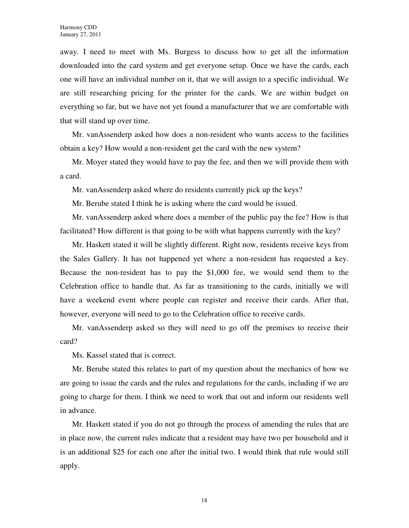away. I need to meet with Ms. Burgess to discuss how to get all the information downloaded into the card system and get everyone setup. Once we have the cards, each one will have an individual number on it, that we will assign to a specific individual. We are still researching pricing for the printer for the cards. We are within budget on everything so far, but we have not yet found a manufacturer that we are comfortable with that will stand up over time.

Mr. vanAssenderp asked how does a non-resident who wants access to the facilities obtain a key? How would a non-resident get the card with the new system?

Mr. Moyer stated they would have to pay the fee, and then we will provide them with a card.

Mr. vanAssenderp asked where do residents currently pick up the keys?

Mr. Berube stated I think he is asking where the card would be issued.

Mr. vanAssenderp asked where does a member of the public pay the fee? How is that facilitated? How different is that going to be with what happens currently with the key?

Mr. Haskett stated it will be slightly different. Right now, residents receive keys from the Sales Gallery. It has not happened yet where a non-resident has requested a key. Because the non-resident has to pay the \$1,000 fee, we would send them to the Celebration office to handle that. As far as transitioning to the cards, initially we will have a weekend event where people can register and receive their cards. After that, however, everyone will need to go to the Celebration office to receive cards.

Mr. vanAssenderp asked so they will need to go off the premises to receive their card?

Ms. Kassel stated that is correct.

Mr. Berube stated this relates to part of my question about the mechanics of how we are going to issue the cards and the rules and regulations for the cards, including if we are going to charge for them. I think we need to work that out and inform our residents well in advance.

Mr. Haskett stated if you do not go through the process of amending the rules that are in place now, the current rules indicate that a resident may have two per household and it is an additional \$25 for each one after the initial two. I would think that rule would still apply.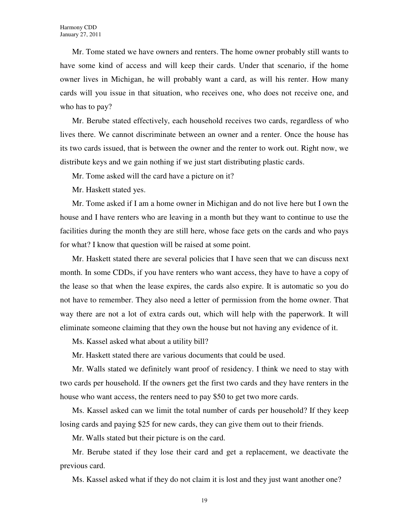Mr. Tome stated we have owners and renters. The home owner probably still wants to have some kind of access and will keep their cards. Under that scenario, if the home owner lives in Michigan, he will probably want a card, as will his renter. How many cards will you issue in that situation, who receives one, who does not receive one, and who has to pay?

Mr. Berube stated effectively, each household receives two cards, regardless of who lives there. We cannot discriminate between an owner and a renter. Once the house has its two cards issued, that is between the owner and the renter to work out. Right now, we distribute keys and we gain nothing if we just start distributing plastic cards.

Mr. Tome asked will the card have a picture on it?

Mr. Haskett stated yes.

Mr. Tome asked if I am a home owner in Michigan and do not live here but I own the house and I have renters who are leaving in a month but they want to continue to use the facilities during the month they are still here, whose face gets on the cards and who pays for what? I know that question will be raised at some point.

Mr. Haskett stated there are several policies that I have seen that we can discuss next month. In some CDDs, if you have renters who want access, they have to have a copy of the lease so that when the lease expires, the cards also expire. It is automatic so you do not have to remember. They also need a letter of permission from the home owner. That way there are not a lot of extra cards out, which will help with the paperwork. It will eliminate someone claiming that they own the house but not having any evidence of it.

Ms. Kassel asked what about a utility bill?

Mr. Haskett stated there are various documents that could be used.

Mr. Walls stated we definitely want proof of residency. I think we need to stay with two cards per household. If the owners get the first two cards and they have renters in the house who want access, the renters need to pay \$50 to get two more cards.

Ms. Kassel asked can we limit the total number of cards per household? If they keep losing cards and paying \$25 for new cards, they can give them out to their friends.

Mr. Walls stated but their picture is on the card.

Mr. Berube stated if they lose their card and get a replacement, we deactivate the previous card.

Ms. Kassel asked what if they do not claim it is lost and they just want another one?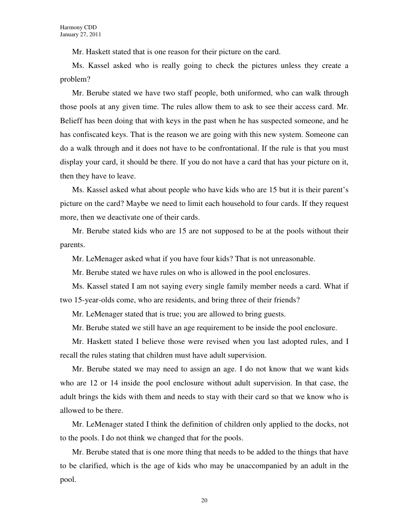Mr. Haskett stated that is one reason for their picture on the card.

Ms. Kassel asked who is really going to check the pictures unless they create a problem?

Mr. Berube stated we have two staff people, both uniformed, who can walk through those pools at any given time. The rules allow them to ask to see their access card. Mr. Belieff has been doing that with keys in the past when he has suspected someone, and he has confiscated keys. That is the reason we are going with this new system. Someone can do a walk through and it does not have to be confrontational. If the rule is that you must display your card, it should be there. If you do not have a card that has your picture on it, then they have to leave.

Ms. Kassel asked what about people who have kids who are 15 but it is their parent's picture on the card? Maybe we need to limit each household to four cards. If they request more, then we deactivate one of their cards.

Mr. Berube stated kids who are 15 are not supposed to be at the pools without their parents.

Mr. LeMenager asked what if you have four kids? That is not unreasonable.

Mr. Berube stated we have rules on who is allowed in the pool enclosures.

Ms. Kassel stated I am not saying every single family member needs a card. What if two 15-year-olds come, who are residents, and bring three of their friends?

Mr. LeMenager stated that is true; you are allowed to bring guests.

Mr. Berube stated we still have an age requirement to be inside the pool enclosure.

Mr. Haskett stated I believe those were revised when you last adopted rules, and I recall the rules stating that children must have adult supervision.

Mr. Berube stated we may need to assign an age. I do not know that we want kids who are 12 or 14 inside the pool enclosure without adult supervision. In that case, the adult brings the kids with them and needs to stay with their card so that we know who is allowed to be there.

Mr. LeMenager stated I think the definition of children only applied to the docks, not to the pools. I do not think we changed that for the pools.

Mr. Berube stated that is one more thing that needs to be added to the things that have to be clarified, which is the age of kids who may be unaccompanied by an adult in the pool.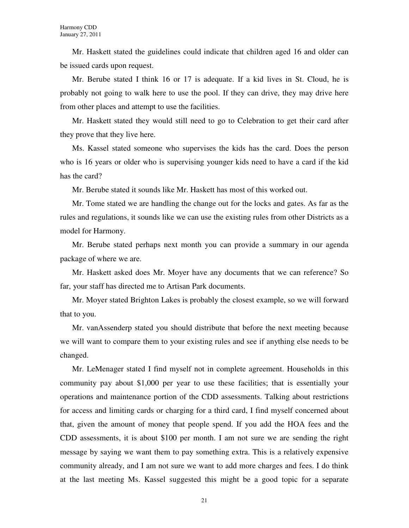Mr. Haskett stated the guidelines could indicate that children aged 16 and older can be issued cards upon request.

Mr. Berube stated I think 16 or 17 is adequate. If a kid lives in St. Cloud, he is probably not going to walk here to use the pool. If they can drive, they may drive here from other places and attempt to use the facilities.

Mr. Haskett stated they would still need to go to Celebration to get their card after they prove that they live here.

Ms. Kassel stated someone who supervises the kids has the card. Does the person who is 16 years or older who is supervising younger kids need to have a card if the kid has the card?

Mr. Berube stated it sounds like Mr. Haskett has most of this worked out.

Mr. Tome stated we are handling the change out for the locks and gates. As far as the rules and regulations, it sounds like we can use the existing rules from other Districts as a model for Harmony.

Mr. Berube stated perhaps next month you can provide a summary in our agenda package of where we are.

Mr. Haskett asked does Mr. Moyer have any documents that we can reference? So far, your staff has directed me to Artisan Park documents.

Mr. Moyer stated Brighton Lakes is probably the closest example, so we will forward that to you.

Mr. vanAssenderp stated you should distribute that before the next meeting because we will want to compare them to your existing rules and see if anything else needs to be changed.

Mr. LeMenager stated I find myself not in complete agreement. Households in this community pay about \$1,000 per year to use these facilities; that is essentially your operations and maintenance portion of the CDD assessments. Talking about restrictions for access and limiting cards or charging for a third card, I find myself concerned about that, given the amount of money that people spend. If you add the HOA fees and the CDD assessments, it is about \$100 per month. I am not sure we are sending the right message by saying we want them to pay something extra. This is a relatively expensive community already, and I am not sure we want to add more charges and fees. I do think at the last meeting Ms. Kassel suggested this might be a good topic for a separate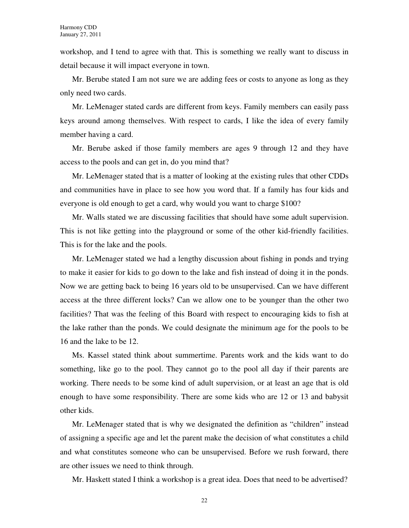workshop, and I tend to agree with that. This is something we really want to discuss in detail because it will impact everyone in town.

Mr. Berube stated I am not sure we are adding fees or costs to anyone as long as they only need two cards.

Mr. LeMenager stated cards are different from keys. Family members can easily pass keys around among themselves. With respect to cards, I like the idea of every family member having a card.

Mr. Berube asked if those family members are ages 9 through 12 and they have access to the pools and can get in, do you mind that?

Mr. LeMenager stated that is a matter of looking at the existing rules that other CDDs and communities have in place to see how you word that. If a family has four kids and everyone is old enough to get a card, why would you want to charge \$100?

Mr. Walls stated we are discussing facilities that should have some adult supervision. This is not like getting into the playground or some of the other kid-friendly facilities. This is for the lake and the pools.

Mr. LeMenager stated we had a lengthy discussion about fishing in ponds and trying to make it easier for kids to go down to the lake and fish instead of doing it in the ponds. Now we are getting back to being 16 years old to be unsupervised. Can we have different access at the three different locks? Can we allow one to be younger than the other two facilities? That was the feeling of this Board with respect to encouraging kids to fish at the lake rather than the ponds. We could designate the minimum age for the pools to be 16 and the lake to be 12.

Ms. Kassel stated think about summertime. Parents work and the kids want to do something, like go to the pool. They cannot go to the pool all day if their parents are working. There needs to be some kind of adult supervision, or at least an age that is old enough to have some responsibility. There are some kids who are 12 or 13 and babysit other kids.

Mr. LeMenager stated that is why we designated the definition as "children" instead of assigning a specific age and let the parent make the decision of what constitutes a child and what constitutes someone who can be unsupervised. Before we rush forward, there are other issues we need to think through.

Mr. Haskett stated I think a workshop is a great idea. Does that need to be advertised?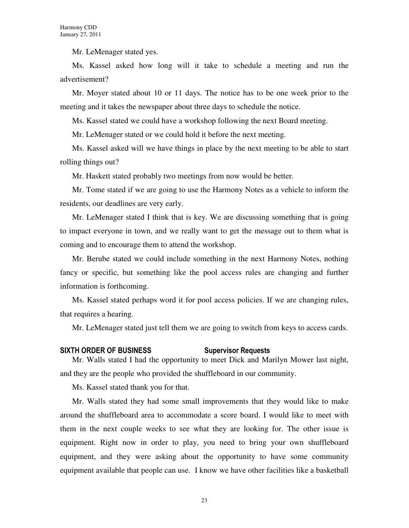Mr. LeMenager stated yes.

Ms. Kassel asked how long will it take to schedule a meeting and run the advertisement?

Mr. Moyer stated about 10 or 11 days. The notice has to be one week prior to the meeting and it takes the newspaper about three days to schedule the notice.

Ms. Kassel stated we could have a workshop following the next Board meeting.

Mr. LeMenager stated or we could hold it before the next meeting.

Ms. Kassel asked will we have things in place by the next meeting to be able to start rolling things out?

Mr. Haskett stated probably two meetings from now would be better.

Mr. Tome stated if we are going to use the Harmony Notes as a vehicle to inform the residents, our deadlines are very early.

Mr. LeMenager stated I think that is key. We are discussing something that is going to impact everyone in town, and we really want to get the message out to them what is coming and to encourage them to attend the workshop.

Mr. Berube stated we could include something in the next Harmony Notes, nothing fancy or specific, but something like the pool access rules are changing and further information is forthcoming.

Ms. Kassel stated perhaps word it for pool access policies. If we are changing rules, that requires a hearing.

Mr. LeMenager stated just tell them we are going to switch from keys to access cards.

#### SIXTH ORDER OF BUSINESS Supervisor Requests

Mr. Walls stated I had the opportunity to meet Dick and Marilyn Mower last night, and they are the people who provided the shuffleboard in our community.

Ms. Kassel stated thank you for that.

Mr. Walls stated they had some small improvements that they would like to make around the shuffleboard area to accommodate a score board. I would like to meet with them in the next couple weeks to see what they are looking for. The other issue is equipment. Right now in order to play, you need to bring your own shuffleboard equipment, and they were asking about the opportunity to have some community equipment available that people can use. I know we have other facilities like a basketball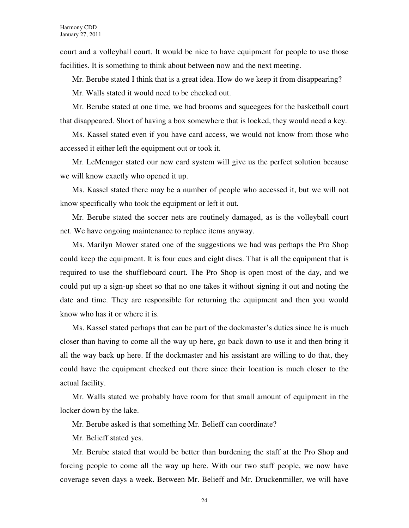court and a volleyball court. It would be nice to have equipment for people to use those facilities. It is something to think about between now and the next meeting.

Mr. Berube stated I think that is a great idea. How do we keep it from disappearing?

Mr. Walls stated it would need to be checked out.

Mr. Berube stated at one time, we had brooms and squeegees for the basketball court that disappeared. Short of having a box somewhere that is locked, they would need a key.

Ms. Kassel stated even if you have card access, we would not know from those who accessed it either left the equipment out or took it.

Mr. LeMenager stated our new card system will give us the perfect solution because we will know exactly who opened it up.

Ms. Kassel stated there may be a number of people who accessed it, but we will not know specifically who took the equipment or left it out.

Mr. Berube stated the soccer nets are routinely damaged, as is the volleyball court net. We have ongoing maintenance to replace items anyway.

Ms. Marilyn Mower stated one of the suggestions we had was perhaps the Pro Shop could keep the equipment. It is four cues and eight discs. That is all the equipment that is required to use the shuffleboard court. The Pro Shop is open most of the day, and we could put up a sign-up sheet so that no one takes it without signing it out and noting the date and time. They are responsible for returning the equipment and then you would know who has it or where it is.

Ms. Kassel stated perhaps that can be part of the dockmaster's duties since he is much closer than having to come all the way up here, go back down to use it and then bring it all the way back up here. If the dockmaster and his assistant are willing to do that, they could have the equipment checked out there since their location is much closer to the actual facility.

Mr. Walls stated we probably have room for that small amount of equipment in the locker down by the lake.

Mr. Berube asked is that something Mr. Belieff can coordinate?

Mr. Belieff stated yes.

Mr. Berube stated that would be better than burdening the staff at the Pro Shop and forcing people to come all the way up here. With our two staff people, we now have coverage seven days a week. Between Mr. Belieff and Mr. Druckenmiller, we will have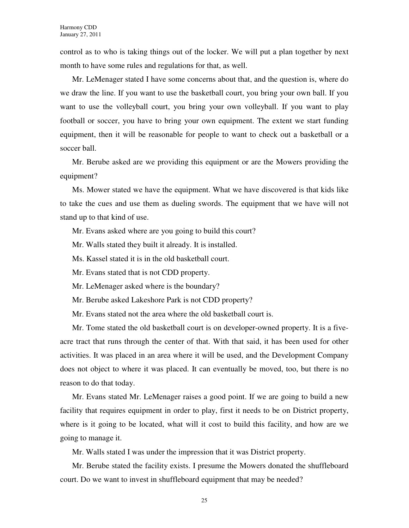control as to who is taking things out of the locker. We will put a plan together by next month to have some rules and regulations for that, as well.

Mr. LeMenager stated I have some concerns about that, and the question is, where do we draw the line. If you want to use the basketball court, you bring your own ball. If you want to use the volleyball court, you bring your own volleyball. If you want to play football or soccer, you have to bring your own equipment. The extent we start funding equipment, then it will be reasonable for people to want to check out a basketball or a soccer ball.

Mr. Berube asked are we providing this equipment or are the Mowers providing the equipment?

Ms. Mower stated we have the equipment. What we have discovered is that kids like to take the cues and use them as dueling swords. The equipment that we have will not stand up to that kind of use.

Mr. Evans asked where are you going to build this court?

Mr. Walls stated they built it already. It is installed.

Ms. Kassel stated it is in the old basketball court.

Mr. Evans stated that is not CDD property.

Mr. LeMenager asked where is the boundary?

Mr. Berube asked Lakeshore Park is not CDD property?

Mr. Evans stated not the area where the old basketball court is.

Mr. Tome stated the old basketball court is on developer-owned property. It is a fiveacre tract that runs through the center of that. With that said, it has been used for other activities. It was placed in an area where it will be used, and the Development Company does not object to where it was placed. It can eventually be moved, too, but there is no reason to do that today.

Mr. Evans stated Mr. LeMenager raises a good point. If we are going to build a new facility that requires equipment in order to play, first it needs to be on District property, where is it going to be located, what will it cost to build this facility, and how are we going to manage it.

Mr. Walls stated I was under the impression that it was District property.

Mr. Berube stated the facility exists. I presume the Mowers donated the shuffleboard court. Do we want to invest in shuffleboard equipment that may be needed?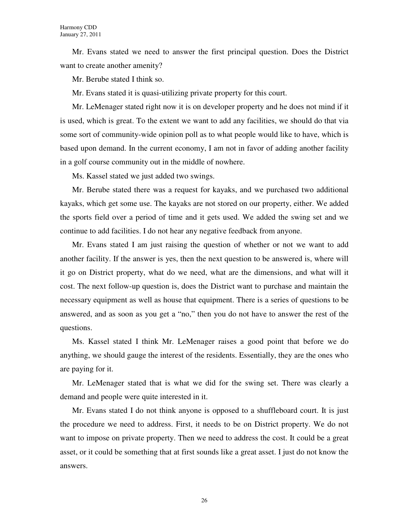Mr. Evans stated we need to answer the first principal question. Does the District want to create another amenity?

Mr. Berube stated I think so.

Mr. Evans stated it is quasi-utilizing private property for this court.

Mr. LeMenager stated right now it is on developer property and he does not mind if it is used, which is great. To the extent we want to add any facilities, we should do that via some sort of community-wide opinion poll as to what people would like to have, which is based upon demand. In the current economy, I am not in favor of adding another facility in a golf course community out in the middle of nowhere.

Ms. Kassel stated we just added two swings.

Mr. Berube stated there was a request for kayaks, and we purchased two additional kayaks, which get some use. The kayaks are not stored on our property, either. We added the sports field over a period of time and it gets used. We added the swing set and we continue to add facilities. I do not hear any negative feedback from anyone.

Mr. Evans stated I am just raising the question of whether or not we want to add another facility. If the answer is yes, then the next question to be answered is, where will it go on District property, what do we need, what are the dimensions, and what will it cost. The next follow-up question is, does the District want to purchase and maintain the necessary equipment as well as house that equipment. There is a series of questions to be answered, and as soon as you get a "no," then you do not have to answer the rest of the questions.

Ms. Kassel stated I think Mr. LeMenager raises a good point that before we do anything, we should gauge the interest of the residents. Essentially, they are the ones who are paying for it.

Mr. LeMenager stated that is what we did for the swing set. There was clearly a demand and people were quite interested in it.

Mr. Evans stated I do not think anyone is opposed to a shuffleboard court. It is just the procedure we need to address. First, it needs to be on District property. We do not want to impose on private property. Then we need to address the cost. It could be a great asset, or it could be something that at first sounds like a great asset. I just do not know the answers.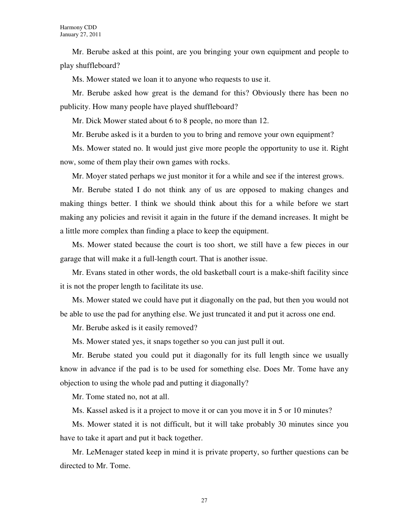Mr. Berube asked at this point, are you bringing your own equipment and people to play shuffleboard?

Ms. Mower stated we loan it to anyone who requests to use it.

Mr. Berube asked how great is the demand for this? Obviously there has been no publicity. How many people have played shuffleboard?

Mr. Dick Mower stated about 6 to 8 people, no more than 12.

Mr. Berube asked is it a burden to you to bring and remove your own equipment?

Ms. Mower stated no. It would just give more people the opportunity to use it. Right now, some of them play their own games with rocks.

Mr. Moyer stated perhaps we just monitor it for a while and see if the interest grows.

Mr. Berube stated I do not think any of us are opposed to making changes and making things better. I think we should think about this for a while before we start making any policies and revisit it again in the future if the demand increases. It might be a little more complex than finding a place to keep the equipment.

Ms. Mower stated because the court is too short, we still have a few pieces in our garage that will make it a full-length court. That is another issue.

Mr. Evans stated in other words, the old basketball court is a make-shift facility since it is not the proper length to facilitate its use.

Ms. Mower stated we could have put it diagonally on the pad, but then you would not be able to use the pad for anything else. We just truncated it and put it across one end.

Mr. Berube asked is it easily removed?

Ms. Mower stated yes, it snaps together so you can just pull it out.

Mr. Berube stated you could put it diagonally for its full length since we usually know in advance if the pad is to be used for something else. Does Mr. Tome have any objection to using the whole pad and putting it diagonally?

Mr. Tome stated no, not at all.

Ms. Kassel asked is it a project to move it or can you move it in 5 or 10 minutes?

Ms. Mower stated it is not difficult, but it will take probably 30 minutes since you have to take it apart and put it back together.

Mr. LeMenager stated keep in mind it is private property, so further questions can be directed to Mr. Tome.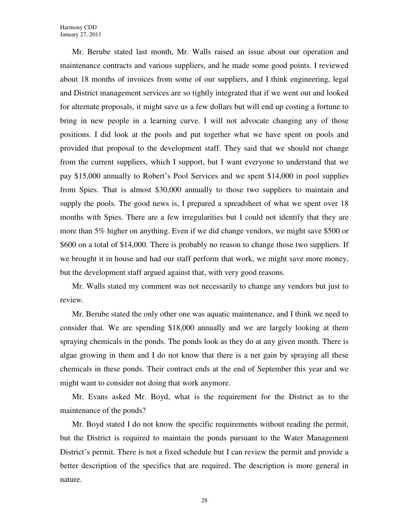Mr. Berube stated last month, Mr. Walls raised an issue about our operation and maintenance contracts and various suppliers, and he made some good points. I reviewed about 18 months of invoices from some of our suppliers, and I think engineering, legal and District management services are so tightly integrated that if we went out and looked for alternate proposals, it might save us a few dollars but will end up costing a fortune to bring in new people in a learning curve. I will not advocate changing any of those positions. I did look at the pools and put together what we have spent on pools and provided that proposal to the development staff. They said that we should not change from the current suppliers, which I support, but I want everyone to understand that we pay \$15,000 annually to Robert's Pool Services and we spent \$14,000 in pool supplies from Spies. That is almost \$30,000 annually to those two suppliers to maintain and supply the pools. The good news is, I prepared a spreadsheet of what we spent over 18 months with Spies. There are a few irregularities but I could not identify that they are more than 5% higher on anything. Even if we did change vendors, we might save \$500 or \$600 on a total of \$14,000. There is probably no reason to change those two suppliers. If we brought it in house and had our staff perform that work, we might save more money, but the development staff argued against that, with very good reasons.

Mr. Walls stated my comment was not necessarily to change any vendors but just to review.

Mr. Berube stated the only other one was aquatic maintenance, and I think we need to consider that. We are spending \$18,000 annually and we are largely looking at them spraying chemicals in the ponds. The ponds look as they do at any given month. There is algae growing in them and I do not know that there is a net gain by spraying all these chemicals in these ponds. Their contract ends at the end of September this year and we might want to consider not doing that work anymore.

Mr. Evans asked Mr. Boyd, what is the requirement for the District as to the maintenance of the ponds?

Mr. Boyd stated I do not know the specific requirements without reading the permit, but the District is required to maintain the ponds pursuant to the Water Management District's permit. There is not a fixed schedule but I can review the permit and provide a better description of the specifics that are required. The description is more general in nature.

28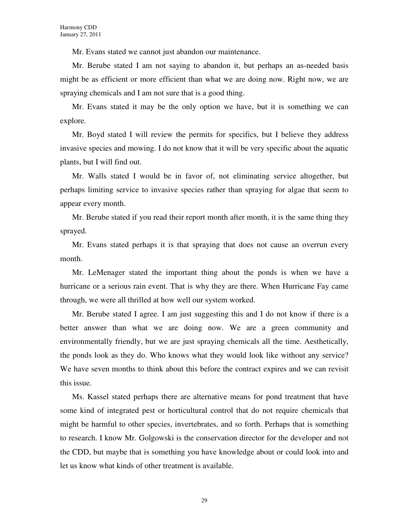Mr. Evans stated we cannot just abandon our maintenance.

Mr. Berube stated I am not saying to abandon it, but perhaps an as-needed basis might be as efficient or more efficient than what we are doing now. Right now, we are spraying chemicals and I am not sure that is a good thing.

Mr. Evans stated it may be the only option we have, but it is something we can explore.

Mr. Boyd stated I will review the permits for specifics, but I believe they address invasive species and mowing. I do not know that it will be very specific about the aquatic plants, but I will find out.

Mr. Walls stated I would be in favor of, not eliminating service altogether, but perhaps limiting service to invasive species rather than spraying for algae that seem to appear every month.

Mr. Berube stated if you read their report month after month, it is the same thing they sprayed.

Mr. Evans stated perhaps it is that spraying that does not cause an overrun every month.

Mr. LeMenager stated the important thing about the ponds is when we have a hurricane or a serious rain event. That is why they are there. When Hurricane Fay came through, we were all thrilled at how well our system worked.

Mr. Berube stated I agree. I am just suggesting this and I do not know if there is a better answer than what we are doing now. We are a green community and environmentally friendly, but we are just spraying chemicals all the time. Aesthetically, the ponds look as they do. Who knows what they would look like without any service? We have seven months to think about this before the contract expires and we can revisit this issue.

Ms. Kassel stated perhaps there are alternative means for pond treatment that have some kind of integrated pest or horticultural control that do not require chemicals that might be harmful to other species, invertebrates, and so forth. Perhaps that is something to research. I know Mr. Golgowski is the conservation director for the developer and not the CDD, but maybe that is something you have knowledge about or could look into and let us know what kinds of other treatment is available.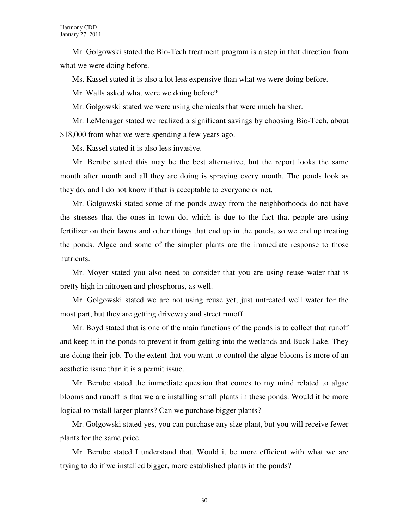Mr. Golgowski stated the Bio-Tech treatment program is a step in that direction from what we were doing before.

Ms. Kassel stated it is also a lot less expensive than what we were doing before.

Mr. Walls asked what were we doing before?

Mr. Golgowski stated we were using chemicals that were much harsher.

Mr. LeMenager stated we realized a significant savings by choosing Bio-Tech, about \$18,000 from what we were spending a few years ago.

Ms. Kassel stated it is also less invasive.

Mr. Berube stated this may be the best alternative, but the report looks the same month after month and all they are doing is spraying every month. The ponds look as they do, and I do not know if that is acceptable to everyone or not.

Mr. Golgowski stated some of the ponds away from the neighborhoods do not have the stresses that the ones in town do, which is due to the fact that people are using fertilizer on their lawns and other things that end up in the ponds, so we end up treating the ponds. Algae and some of the simpler plants are the immediate response to those nutrients.

Mr. Moyer stated you also need to consider that you are using reuse water that is pretty high in nitrogen and phosphorus, as well.

Mr. Golgowski stated we are not using reuse yet, just untreated well water for the most part, but they are getting driveway and street runoff.

Mr. Boyd stated that is one of the main functions of the ponds is to collect that runoff and keep it in the ponds to prevent it from getting into the wetlands and Buck Lake. They are doing their job. To the extent that you want to control the algae blooms is more of an aesthetic issue than it is a permit issue.

Mr. Berube stated the immediate question that comes to my mind related to algae blooms and runoff is that we are installing small plants in these ponds. Would it be more logical to install larger plants? Can we purchase bigger plants?

Mr. Golgowski stated yes, you can purchase any size plant, but you will receive fewer plants for the same price.

Mr. Berube stated I understand that. Would it be more efficient with what we are trying to do if we installed bigger, more established plants in the ponds?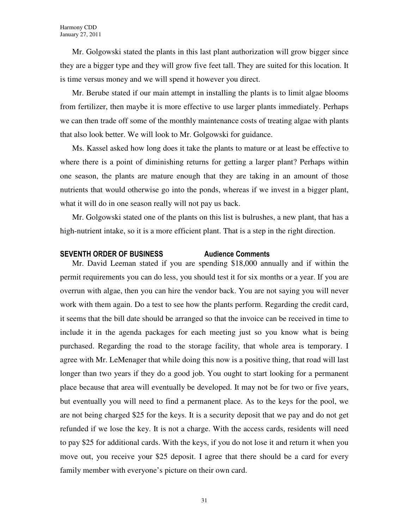Mr. Golgowski stated the plants in this last plant authorization will grow bigger since they are a bigger type and they will grow five feet tall. They are suited for this location. It is time versus money and we will spend it however you direct.

Mr. Berube stated if our main attempt in installing the plants is to limit algae blooms from fertilizer, then maybe it is more effective to use larger plants immediately. Perhaps we can then trade off some of the monthly maintenance costs of treating algae with plants that also look better. We will look to Mr. Golgowski for guidance.

Ms. Kassel asked how long does it take the plants to mature or at least be effective to where there is a point of diminishing returns for getting a larger plant? Perhaps within one season, the plants are mature enough that they are taking in an amount of those nutrients that would otherwise go into the ponds, whereas if we invest in a bigger plant, what it will do in one season really will not pay us back.

Mr. Golgowski stated one of the plants on this list is bulrushes, a new plant, that has a high-nutrient intake, so it is a more efficient plant. That is a step in the right direction.

# SEVENTH ORDER OF BUSINESS Audience Comments

Mr. David Leeman stated if you are spending \$18,000 annually and if within the permit requirements you can do less, you should test it for six months or a year. If you are overrun with algae, then you can hire the vendor back. You are not saying you will never work with them again. Do a test to see how the plants perform. Regarding the credit card, it seems that the bill date should be arranged so that the invoice can be received in time to include it in the agenda packages for each meeting just so you know what is being purchased. Regarding the road to the storage facility, that whole area is temporary. I agree with Mr. LeMenager that while doing this now is a positive thing, that road will last longer than two years if they do a good job. You ought to start looking for a permanent place because that area will eventually be developed. It may not be for two or five years, but eventually you will need to find a permanent place. As to the keys for the pool, we are not being charged \$25 for the keys. It is a security deposit that we pay and do not get refunded if we lose the key. It is not a charge. With the access cards, residents will need to pay \$25 for additional cards. With the keys, if you do not lose it and return it when you move out, you receive your \$25 deposit. I agree that there should be a card for every family member with everyone's picture on their own card.